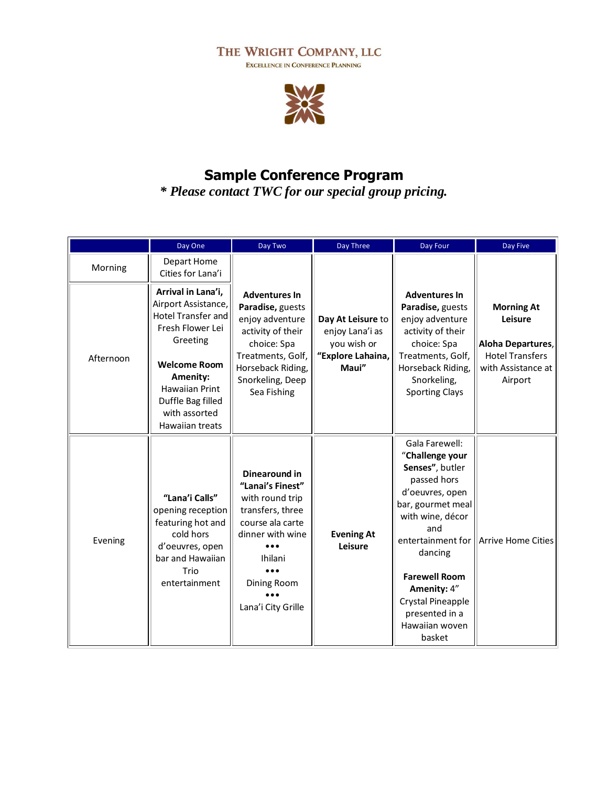## THE WRIGHT COMPANY, LLC

EXCELLENCE IN CONFERENCE PLANNING



## **Sample Conference Program**

*\* Please contact TWC for our special group pricing.*

|           | Day One                                                                                                                                                                                                                     | Day Two                                                                                                                                                                                     | Day Three                                                                         | Day Four                                                                                                                                                                                                                                                                         | Day Five                                                                                                     |
|-----------|-----------------------------------------------------------------------------------------------------------------------------------------------------------------------------------------------------------------------------|---------------------------------------------------------------------------------------------------------------------------------------------------------------------------------------------|-----------------------------------------------------------------------------------|----------------------------------------------------------------------------------------------------------------------------------------------------------------------------------------------------------------------------------------------------------------------------------|--------------------------------------------------------------------------------------------------------------|
| Morning   | Depart Home<br>Cities for Lana'i                                                                                                                                                                                            |                                                                                                                                                                                             |                                                                                   |                                                                                                                                                                                                                                                                                  |                                                                                                              |
| Afternoon | Arrival in Lana'i,<br>Airport Assistance,<br><b>Hotel Transfer and</b><br>Fresh Flower Lei<br>Greeting<br><b>Welcome Room</b><br>Amenity:<br><b>Hawaiian Print</b><br>Duffle Bag filled<br>with assorted<br>Hawaiian treats | <b>Adventures In</b><br>Paradise, guests<br>enjoy adventure<br>activity of their<br>choice: Spa<br>Treatments, Golf,<br>Horseback Riding,<br>Snorkeling, Deep<br>Sea Fishing                | Day At Leisure to<br>enjoy Lana'i as<br>you wish or<br>"Explore Lahaina,<br>Maui" | <b>Adventures In</b><br>Paradise, guests<br>enjoy adventure<br>activity of their<br>choice: Spa<br>Treatments, Golf,<br>Horseback Riding,<br>Snorkeling,<br><b>Sporting Clays</b>                                                                                                | <b>Morning At</b><br>Leisure<br>Aloha Departures,<br><b>Hotel Transfers</b><br>with Assistance at<br>Airport |
| Evening   | "Lana'i Calls"<br>opening reception<br>featuring hot and<br>cold hors<br>d'oeuvres, open<br>bar and Hawaiian<br>Trio<br>entertainment                                                                                       | Dinearound in<br>"Lanai's Finest"<br>with round trip<br>transfers, three<br>course ala carte<br>dinner with wine<br>Ihilani<br>$\bullet\bullet\bullet$<br>Dining Room<br>Lana'i City Grille | <b>Evening At</b><br>Leisure                                                      | Gala Farewell:<br>"Challenge your<br>Senses", butler<br>passed hors<br>d'oeuvres, open<br>bar, gourmet meal<br>with wine, décor<br>and<br>entertainment for<br>dancing<br><b>Farewell Room</b><br>Amenity: 4"<br>Crystal Pineapple<br>presented in a<br>Hawaiian woven<br>basket | <b>Arrive Home Cities</b>                                                                                    |